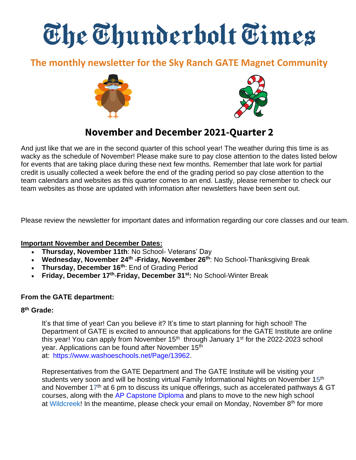# The Thunderbolt Times

# **The monthly newsletter for the Sky Ranch GATE Magnet Community**





# **November and December 2021-Quarter 2**

And just like that we are in the second quarter of this school year! The weather during this time is as wacky as the schedule of November! Please make sure to pay close attention to the dates listed below for events that are taking place during these next few months. Remember that late work for partial credit is usually collected a week before the end of the grading period so pay close attention to the team calendars and websites as this quarter comes to an end. Lastly, please remember to check our team websites as those are updated with information after newsletters have been sent out.

Please review the newsletter for important dates and information regarding our core classes and our team.

#### **Important November and December Dates:**

- **Thursday, November 11th**: No School- Veterans' Day
- Wednesday, November 24<sup>th</sup> -Friday, November 26<sup>th</sup>: No School-Thanksgiving Break
- **Thursday, December 16th**: End of Grading Period
- **Friday, December 17th** -**Friday, December 31st:** No School-Winter Break

#### **From the GATE department:**

#### **8 th Grade:**

It's that time of year! Can you believe it? It's time to start planning for high school! The Department of GATE is excited to announce that applications for the GATE Institute are online this year! You can apply from November  $15<sup>th</sup>$  through January  $1<sup>st</sup>$  for the 2022-2023 school year. Applications can be found after November 15<sup>th</sup> at:  [https://www.washoeschools.net/Page/13962.](https://www.washoeschools.net/Page/13962)  

Representatives from the GATE Department and The GATE Institute will be visiting your students very soon and will be hosting virtual Family Informational Nights on November 15<sup>th</sup> and November 17<sup>th</sup> at 6 pm to discuss its unique offerings, such as accelerated pathways & GT courses, along with the [AP Capstone Diploma](https://apcentral.collegeboard.org/courses/ap-capstone) and plans to move to the new high school at [Wildcreek!](https://youtu.be/hl7L6O5lFi8) In the meantime, please check your email on Monday, November 8<sup>th</sup> for more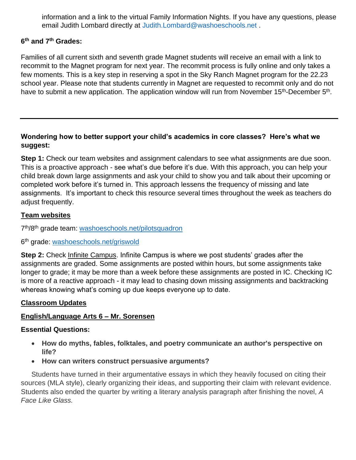information and a link to the virtual Family Information Nights. If you have any questions, please email Judith Lombard directly at [Judith.Lombard@washoeschools.net](mailto:Judith.Lombard@washoeschools.net) .

#### **6 th and 7th Grades:**

Families of all current sixth and seventh grade Magnet students will receive an email with a link to recommit to the Magnet program for next year. The recommit process is fully online and only takes a few moments. This is a key step in reserving a spot in the Sky Ranch Magnet program for the 22.23 school year. Please note that students currently in Magnet are requested to recommit only and do not have to submit a new application. The application window will run from November 15<sup>th</sup>-December 5<sup>th</sup>.

#### **Wondering how to better support your child's academics in core classes? Here's what we suggest:**

**Step 1:** Check our team websites and assignment calendars to see what assignments are due soon. This is a proactive approach - see what's due before it's due. With this approach, you can help your child break down large assignments and ask your child to show you and talk about their upcoming or completed work before it's turned in. This approach lessens the frequency of missing and late assignments. It's important to check this resource several times throughout the week as teachers do adjust frequently.

#### **Team websites**

7<sup>th</sup>/8<sup>th</sup> grade team: [washoeschools.net/pilotsquadron](http://washoeschools.net/pilotsquadron)

6<sup>th</sup> grade: [washoeschools.net/griswold](http://washoeschools.net/griswold)

**Step 2:** Check [Infinite Campus.](https://www.washoeschools.net/site/Default.aspx?PageType=1&SiteID=4&ChannelID=57&DirectoryType=6) Infinite Campus is where we post students' grades after the assignments are graded. Some assignments are posted within hours, but some assignments take longer to grade; it may be more than a week before these assignments are posted in IC. Checking IC is more of a reactive approach - it may lead to chasing down missing assignments and backtracking whereas knowing what's coming up due keeps everyone up to date.

#### **Classroom Updates**

#### **English/Language Arts 6 – Mr. Sorensen**

#### **Essential Questions:**

- **How do myths, fables, folktales, and poetry communicate an author's perspective on life?**
- **How can writers construct persuasive arguments?**

Students have turned in their argumentative essays in which they heavily focused on citing their sources (MLA style), clearly organizing their ideas, and supporting their claim with relevant evidence. Students also ended the quarter by writing a literary analysis paragraph after finishing the novel, *A Face Like Glass.*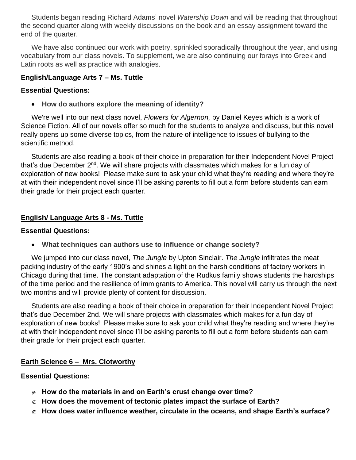Students began reading Richard Adams' novel *Watership Down* and will be reading that throughout the second quarter along with weekly discussions on the book and an essay assignment toward the end of the quarter.

We have also continued our work with poetry, sprinkled sporadically throughout the year, and using vocabulary from our class novels. To supplement, we are also continuing our forays into Greek and Latin roots as well as practice with analogies.

#### **English/Language Arts 7 – Ms. Tuttle**

#### **Essential Questions:**

• **How do authors explore the meaning of identity?**

We're well into our next class novel, *Flowers for Algernon,* by Daniel Keyes which is a work of Science Fiction. All of our novels offer so much for the students to analyze and discuss, but this novel really opens up some diverse topics, from the nature of intelligence to issues of bullying to the scientific method.

Students are also reading a book of their choice in preparation for their Independent Novel Project that's due December  $2<sup>nd</sup>$ . We will share projects with classmates which makes for a fun day of exploration of new books! Please make sure to ask your child what they're reading and where they're at with their independent novel since I'll be asking parents to fill out a form before students can earn their grade for their project each quarter.

#### **English/ Language Arts 8 - Ms. Tuttle**

#### **Essential Questions:**

• **What techniques can authors use to influence or change society?**

We jumped into our class novel, *The Jungle* by Upton Sinclair. *The Jungle* infiltrates the meat packing industry of the early 1900's and shines a light on the harsh conditions of factory workers in Chicago during that time. The constant adaptation of the Rudkus family shows students the hardships of the time period and the resilience of immigrants to America. This novel will carry us through the next two months and will provide plenty of content for discussion.

Students are also reading a book of their choice in preparation for their Independent Novel Project that's due December 2nd. We will share projects with classmates which makes for a fun day of exploration of new books! Please make sure to ask your child what they're reading and where they're at with their independent novel since I'll be asking parents to fill out a form before students can earn their grade for their project each quarter.

#### **Earth Science 6 – Mrs. Clotworthy**

#### **Essential Questions:**

- **How do the materials in and on Earth's crust change over time?**
- **How does the movement of tectonic plates impact the surface of Earth?**
- **How does water influence weather, circulate in the oceans, and shape Earth's surface?**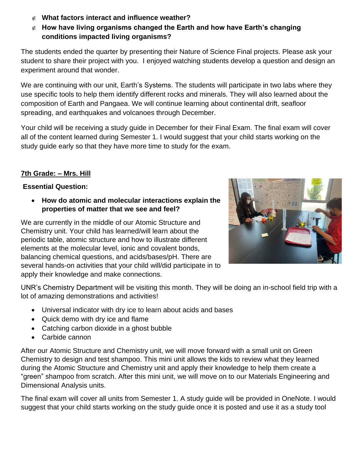- **What factors interact and influence weather?**
- **How have living organisms changed the Earth and how have Earth's changing conditions impacted living organisms?**

The students ended the quarter by presenting their Nature of Science Final projects. Please ask your student to share their project with you. I enjoyed watching students develop a question and design an experiment around that wonder.

We are continuing with our unit, Earth's Systems. The students will participate in two labs where they use specific tools to help them identify different rocks and minerals. They will also learned about the composition of Earth and Pangaea. We will continue learning about continental drift, seafloor spreading, and earthquakes and volcanoes through December.

Your child will be receiving a study guide in December for their Final Exam. The final exam will cover all of the content learned during Semester 1. I would suggest that your child starts working on the study guide early so that they have more time to study for the exam.

# **7th Grade: – Mrs. Hill**

## **Essential Question:**

• **How do atomic and molecular interactions explain the properties of matter that we see and feel?** 

We are currently in the middle of our Atomic Structure and Chemistry unit. Your child has learned/will learn about the periodic table, atomic structure and how to illustrate different elements at the molecular level, ionic and covalent bonds, balancing chemical questions, and acids/bases/pH. There are several hands-on activities that your child will/did participate in to apply their knowledge and make connections.



UNR's Chemistry Department will be visiting this month. They will be doing an in-school field trip with a lot of amazing demonstrations and activities!

- Universal indicator with dry ice to learn about acids and bases
- Quick demo with dry ice and flame
- Catching carbon dioxide in a ghost bubble
- Carbide cannon

After our Atomic Structure and Chemistry unit, we will move forward with a small unit on Green Chemistry to design and test shampoo. This mini unit allows the kids to review what they learned during the Atomic Structure and Chemistry unit and apply their knowledge to help them create a "green" shampoo from scratch. After this mini unit, we will move on to our Materials Engineering and Dimensional Analysis units.

The final exam will cover all units from Semester 1. A study guide will be provided in OneNote. I would suggest that your child starts working on the study guide once it is posted and use it as a study tool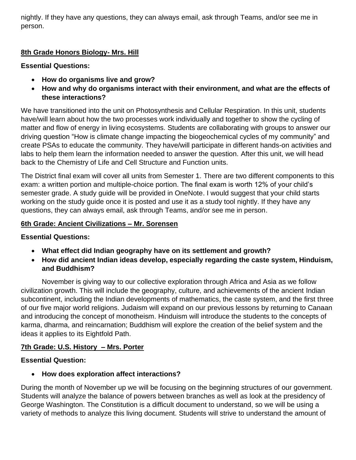nightly. If they have any questions, they can always email, ask through Teams, and/or see me in person.

# **8th Grade Honors Biology- Mrs. Hill**

#### **Essential Questions:**

- **How do organisms live and grow?**
- **How and why do organisms interact with their environment, and what are the effects of these interactions?**

We have transitioned into the unit on Photosynthesis and Cellular Respiration. In this unit, students have/will learn about how the two processes work individually and together to show the cycling of matter and flow of energy in living ecosystems. Students are collaborating with groups to answer our driving question "How is climate change impacting the biogeochemical cycles of my community" and create PSAs to educate the community. They have/will participate in different hands-on activities and labs to help them learn the information needed to answer the question. After this unit, we will head back to the Chemistry of Life and Cell Structure and Function units.

The District final exam will cover all units from Semester 1. There are two different components to this exam: a written portion and multiple-choice portion. The final exam is worth 12% of your child's semester grade. A study guide will be provided in OneNote. I would suggest that your child starts working on the study guide once it is posted and use it as a study tool nightly. If they have any questions, they can always email, ask through Teams, and/or see me in person.

## **6th Grade: Ancient Civilizations – Mr. Sorensen**

#### **Essential Questions:**

- **What effect did Indian geography have on its settlement and growth?**
- **How did ancient Indian ideas develop, especially regarding the caste system, Hinduism, and Buddhism?**

November is giving way to our collective exploration through Africa and Asia as we follow civilization growth. This will include the geography, culture, and achievements of the ancient Indian subcontinent, including the Indian developments of mathematics, the caste system, and the first three of our five major world religions. Judaism will expand on our previous lessons by returning to Canaan and introducing the concept of monotheism. Hinduism will introduce the students to the concepts of karma, dharma, and reincarnation; Buddhism will explore the creation of the belief system and the ideas it applies to its Eightfold Path.

# **7th Grade: U.S. History – Mrs. Porter**

# **Essential Question:**

• **How does exploration affect interactions?**

During the month of November up we will be focusing on the beginning structures of our government. Students will analyze the balance of powers between branches as well as look at the presidency of George Washington. The Constitution is a difficult document to understand, so we will be using a variety of methods to analyze this living document. Students will strive to understand the amount of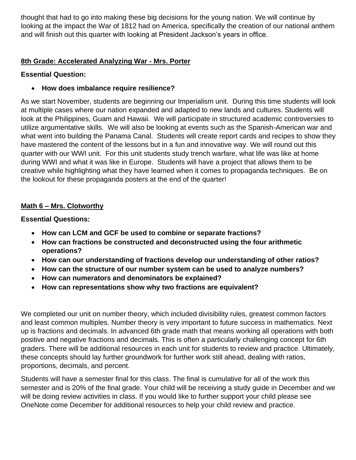thought that had to go into making these big decisions for the young nation. We will continue by looking at the impact the War of 1812 had on America, specifically the creation of our national anthem and will finish out this quarter with looking at President Jackson's years in office.

#### **8th Grade: Accelerated Analyzing War - Mrs. Porter**

## **Essential Question:**

# • **How does imbalance require resilience?**

As we start November, students are beginning our Imperialism unit. During this time students will look at multiple cases where our nation expanded and adapted to new lands and cultures. Students will look at the Philippines, Guam and Hawaii. We will participate in structured academic controversies to utilize argumentative skills. We will also be looking at events such as the Spanish-American war and what went into building the Panama Canal. Students will create report cards and recipes to show they have mastered the content of the lessons but in a fun and innovative way. We will round out this quarter with our WWI unit. For this unit students study trench warfare, what life was like at home during WWI and what it was like in Europe. Students will have a project that allows them to be creative while highlighting what they have learned when it comes to propaganda techniques. Be on the lookout for these propaganda posters at the end of the quarter!

## **Math 6 – Mrs. Clotworthy**

**Essential Questions:** 

- **How can LCM and GCF be used to combine or separate fractions?**
- **How can fractions be constructed and deconstructed using the four arithmetic operations?**
- **How can our understanding of fractions develop our understanding of other ratios?**
- **How can the structure of our number system can be used to analyze numbers?**
- **How can numerators and denominators be explained?**
- **How can representations show why two fractions are equivalent?**

We completed our unit on number theory, which included divisibility rules, greatest common factors and least common multiples. Number theory is very important to future success in mathematics. Next up is fractions and decimals. In advanced 6th grade math that means working all operations with both positive and negative fractions and decimals. This is often a particularly challenging concept for 6th graders. There will be additional resources in each unit for students to review and practice. Ultimately, these concepts should lay further groundwork for further work still ahead, dealing with ratios, proportions, decimals, and percent.

Students will have a semester final for this class. The final is cumulative for all of the work this semester and is 20% of the final grade. Your child will be receiving a study guide in December and we will be doing review activities in class. If you would like to further support your child please see OneNote come December for additional resources to help your child review and practice.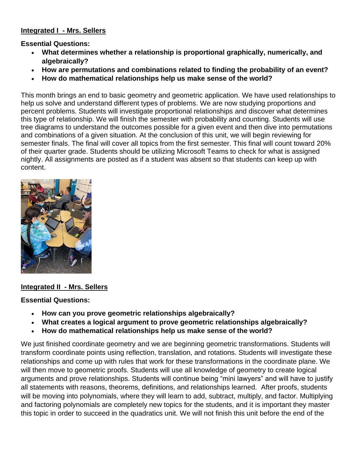#### **Integrated I - Mrs. Sellers**

**Essential Questions:** 

- **What determines whether a relationship is proportional graphically, numerically, and algebraically?**
- **How are permutations and combinations related to finding the probability of an event?**
- **How do mathematical relationships help us make sense of the world?**

This month brings an end to basic geometry and geometric application. We have used relationships to help us solve and understand different types of problems. We are now studying proportions and percent problems. Students will investigate proportional relationships and discover what determines this type of relationship. We will finish the semester with probability and counting. Students will use tree diagrams to understand the outcomes possible for a given event and then dive into permutations and combinations of a given situation. At the conclusion of this unit, we will begin reviewing for semester finals. The final will cover all topics from the first semester. This final will count toward 20% of their quarter grade. Students should be utilizing Microsoft Teams to check for what is assigned nightly. All assignments are posted as if a student was absent so that students can keep up with content.



#### **Integrated II - Mrs. Sellers**

#### **Essential Questions:**

- **How can you prove geometric relationships algebraically?**
- **What creates a logical argument to prove geometric relationships algebraically?**
- **How do mathematical relationships help us make sense of the world?**

We just finished coordinate geometry and we are beginning geometric transformations. Students will transform coordinate points using reflection, translation, and rotations. Students will investigate these relationships and come up with rules that work for these transformations in the coordinate plane. We will then move to geometric proofs. Students will use all knowledge of geometry to create logical arguments and prove relationships. Students will continue being "mini lawyers" and will have to justify all statements with reasons, theorems, definitions, and relationships learned. After proofs, students will be moving into polynomials, where they will learn to add, subtract, multiply, and factor. Multiplying and factoring polynomials are completely new topics for the students, and it is important they master this topic in order to succeed in the quadratics unit. We will not finish this unit before the end of the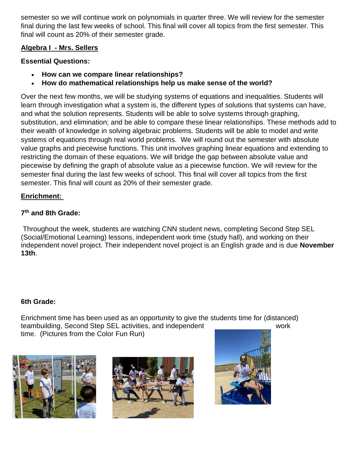semester so we will continue work on polynomials in quarter three. We will review for the semester final during the last few weeks of school. This final will cover all topics from the first semester. This final will count as 20% of their semester grade.

## **Algebra I - Mrs. Sellers**

# **Essential Questions:**

- **How can we compare linear relationships?**
- **How do mathematical relationships help us make sense of the world?**

Over the next few months, we will be studying systems of equations and inequalities. Students will learn through investigation what a system is, the different types of solutions that systems can have, and what the solution represents. Students will be able to solve systems through graphing, substitution, and elimination; and be able to compare these linear relationships. These methods add to their wealth of knowledge in solving algebraic problems. Students will be able to model and write systems of equations through real world problems. We will round out the semester with absolute value graphs and piecewise functions. This unit involves graphing linear equations and extending to restricting the domain of these equations. We will bridge the gap between absolute value and piecewise by defining the graph of absolute value as a piecewise function. We will review for the semester final during the last few weeks of school. This final will cover all topics from the first semester. This final will count as 20% of their semester grade.

# **Enrichment:**

## **7 th and 8th Grade:**

Throughout the week, students are watching CNN student news, completing Second Step SEL (Social/Emotional Learning) lessons, independent work time (study hall), and working on their independent novel project. Their independent novel project is an English grade and is due **November 13th**.

#### **6th Grade:**

Enrichment time has been used as an opportunity to give the students time for (distanced) teambuilding, Second Step SEL activities, and independent work time. (Pictures from the Color Fun Run)